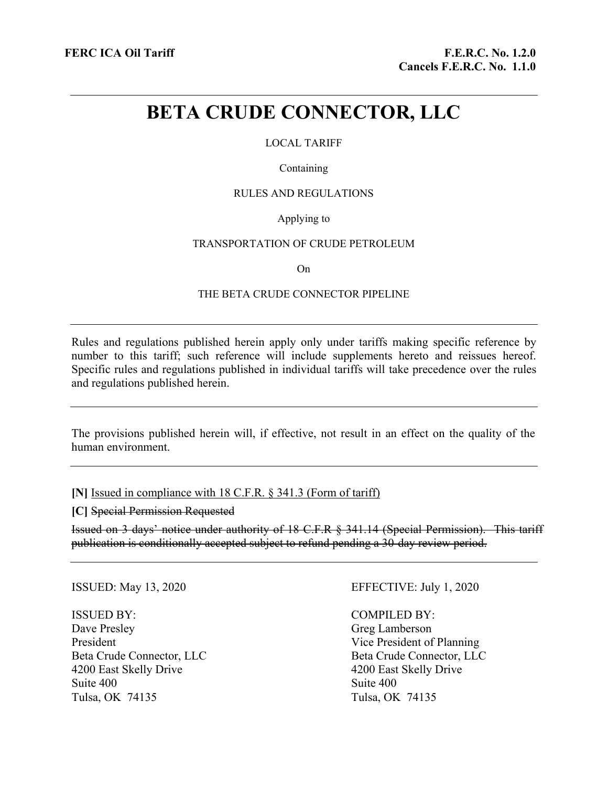# **BETA CRUDE CONNECTOR, LLC**

# LOCAL TARIFF

#### Containing

# RULES AND REGULATIONS

# Applying to

#### TRANSPORTATION OF CRUDE PETROLEUM

On

#### THE BETA CRUDE CONNECTOR PIPELINE

Rules and regulations published herein apply only under tariffs making specific reference by number to this tariff; such reference will include supplements hereto and reissues hereof. Specific rules and regulations published in individual tariffs will take precedence over the rules and regulations published herein.

The provisions published herein will, if effective, not result in an effect on the quality of the human environment.

**[N]** Issued in compliance with 18 C.F.R. § 341.3 (Form of tariff)

**[C]** Special Permission Requested

Issued on 3 days' notice under authority of 18 C.F.R § 341.14 (Special Permission). This tariff publication is conditionally accepted subject to refund pending a 30-day review period.

#### ISSUED BY:

Dave Presley President Beta Crude Connector, LLC 4200 East Skelly Drive Suite 400 Tulsa, OK 74135

# ISSUED: May 13, 2020 EFFECTIVE: July 1, 2020

COMPILED BY: Greg Lamberson Vice President of Planning Beta Crude Connector, LLC 4200 East Skelly Drive Suite 400 Tulsa, OK 74135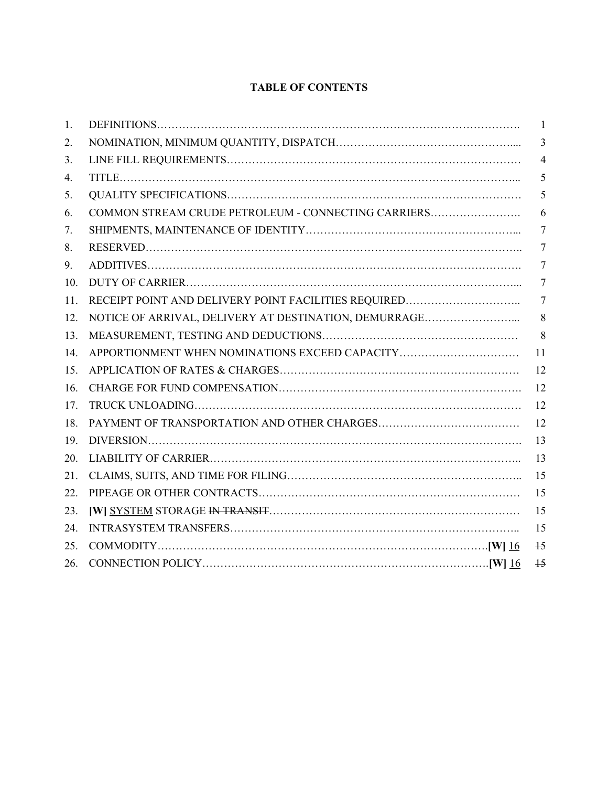# **TABLE OF CONTENTS**

| 1.  |                                                       | $\mathbf{1}$    |
|-----|-------------------------------------------------------|-----------------|
| 2.  |                                                       | 3               |
| 3.  |                                                       | $\overline{4}$  |
| 4.  |                                                       | 5               |
| 5.  |                                                       | 5               |
| 6.  | COMMON STREAM CRUDE PETROLEUM - CONNECTING CARRIERS   | 6               |
| 7.  |                                                       | 7               |
| 8.  |                                                       | 7               |
| 9.  |                                                       | 7               |
| 10. |                                                       | 7               |
| 11. |                                                       | 7               |
| 12. | NOTICE OF ARRIVAL, DELIVERY AT DESTINATION, DEMURRAGE | 8               |
| 13. |                                                       | 8               |
| 14. | APPORTIONMENT WHEN NOMINATIONS EXCEED CAPACITY        | 11              |
| 15. |                                                       | 12              |
| 16. |                                                       | 12              |
| 17. |                                                       | 12              |
| 18. |                                                       | 12              |
| 19. |                                                       | 13              |
| 20. |                                                       | 13              |
| 21. |                                                       | 15              |
| 22. |                                                       | 15              |
| 23. |                                                       | 15              |
| 24. |                                                       | 15              |
| 25. |                                                       | $\overline{15}$ |
| 26. |                                                       | $\overline{15}$ |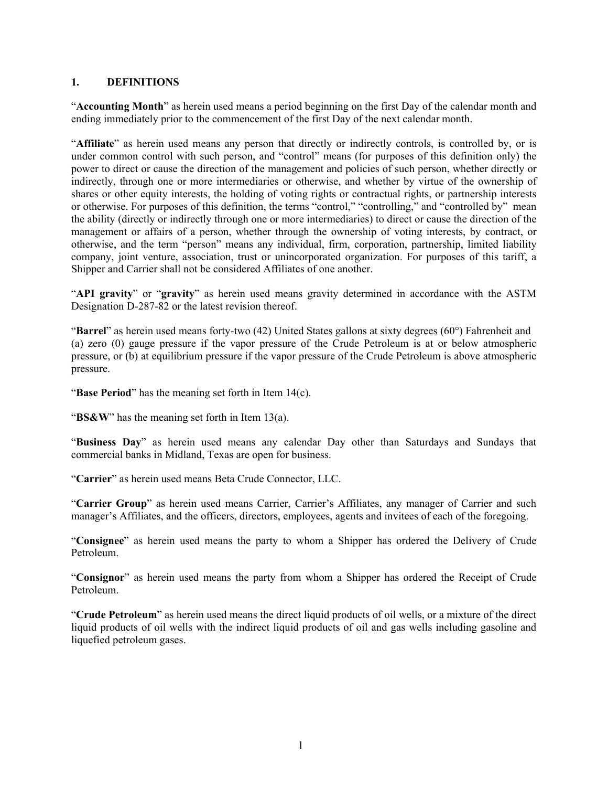# **1. DEFINITIONS**

"**Accounting Month**" as herein used means a period beginning on the first Day of the calendar month and ending immediately prior to the commencement of the first Day of the next calendar month.

"**Affiliate**" as herein used means any person that directly or indirectly controls, is controlled by, or is under common control with such person, and "control" means (for purposes of this definition only) the power to direct or cause the direction of the management and policies of such person, whether directly or indirectly, through one or more intermediaries or otherwise, and whether by virtue of the ownership of shares or other equity interests, the holding of voting rights or contractual rights, or partnership interests or otherwise. For purposes of this definition, the terms "control," "controlling," and "controlled by" mean the ability (directly or indirectly through one or more intermediaries) to direct or cause the direction of the management or affairs of a person, whether through the ownership of voting interests, by contract, or otherwise, and the term "person" means any individual, firm, corporation, partnership, limited liability company, joint venture, association, trust or unincorporated organization. For purposes of this tariff, a Shipper and Carrier shall not be considered Affiliates of one another.

"**API gravity**" or "**gravity**" as herein used means gravity determined in accordance with the ASTM Designation D-287-82 or the latest revision thereof.

"**Barrel**" as herein used means forty-two (42) United States gallons at sixty degrees (60°) Fahrenheit and (a) zero (0) gauge pressure if the vapor pressure of the Crude Petroleum is at or below atmospheric pressure, or (b) at equilibrium pressure if the vapor pressure of the Crude Petroleum is above atmospheric pressure.

"**Base Period**" has the meaning set forth in Item 14(c).

"**BS&W**" has the meaning set forth in Item 13(a).

"**Business Day**" as herein used means any calendar Day other than Saturdays and Sundays that commercial banks in Midland, Texas are open for business.

"**Carrier**" as herein used means Beta Crude Connector, LLC.

"**Carrier Group**" as herein used means Carrier, Carrier's Affiliates, any manager of Carrier and such manager's Affiliates, and the officers, directors, employees, agents and invitees of each of the foregoing.

"**Consignee**" as herein used means the party to whom a Shipper has ordered the Delivery of Crude Petroleum.

"**Consignor**" as herein used means the party from whom a Shipper has ordered the Receipt of Crude Petroleum.

"**Crude Petroleum**" as herein used means the direct liquid products of oil wells, or a mixture of the direct liquid products of oil wells with the indirect liquid products of oil and gas wells including gasoline and liquefied petroleum gases.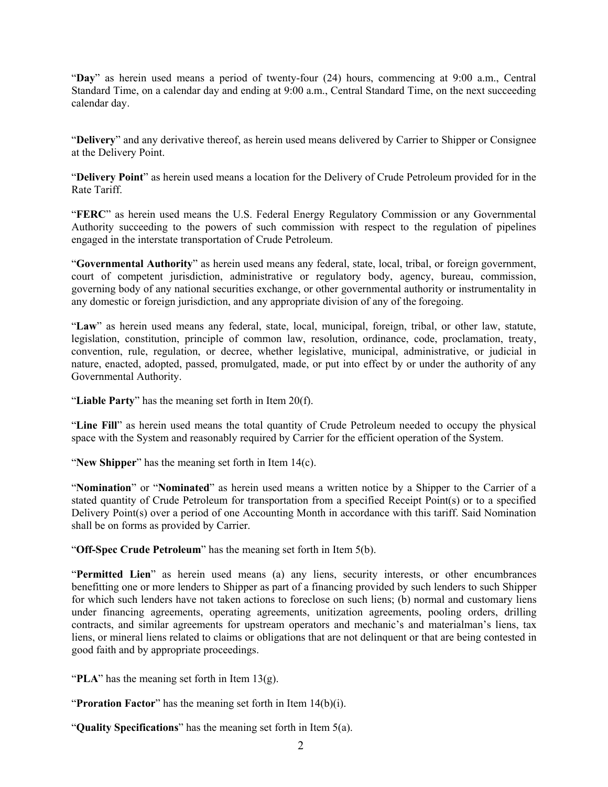"**Day**" as herein used means a period of twenty-four (24) hours, commencing at 9:00 a.m., Central Standard Time, on a calendar day and ending at 9:00 a.m., Central Standard Time, on the next succeeding calendar day.

"**Delivery**" and any derivative thereof, as herein used means delivered by Carrier to Shipper or Consignee at the Delivery Point.

"**Delivery Point**" as herein used means a location for the Delivery of Crude Petroleum provided for in the Rate Tariff.

"**FERC**" as herein used means the U.S. Federal Energy Regulatory Commission or any Governmental Authority succeeding to the powers of such commission with respect to the regulation of pipelines engaged in the interstate transportation of Crude Petroleum.

"**Governmental Authority**" as herein used means any federal, state, local, tribal, or foreign government, court of competent jurisdiction, administrative or regulatory body, agency, bureau, commission, governing body of any national securities exchange, or other governmental authority or instrumentality in any domestic or foreign jurisdiction, and any appropriate division of any of the foregoing.

"**Law**" as herein used means any federal, state, local, municipal, foreign, tribal, or other law, statute, legislation, constitution, principle of common law, resolution, ordinance, code, proclamation, treaty, convention, rule, regulation, or decree, whether legislative, municipal, administrative, or judicial in nature, enacted, adopted, passed, promulgated, made, or put into effect by or under the authority of any Governmental Authority.

"**Liable Party**" has the meaning set forth in Item 20(f).

"**Line Fill**" as herein used means the total quantity of Crude Petroleum needed to occupy the physical space with the System and reasonably required by Carrier for the efficient operation of the System.

"**New Shipper**" has the meaning set forth in Item 14(c).

"**Nomination**" or "**Nominated**" as herein used means a written notice by a Shipper to the Carrier of a stated quantity of Crude Petroleum for transportation from a specified Receipt Point(s) or to a specified Delivery Point(s) over a period of one Accounting Month in accordance with this tariff. Said Nomination shall be on forms as provided by Carrier.

"**Off-Spec Crude Petroleum**" has the meaning set forth in Item 5(b).

"**Permitted Lien**" as herein used means (a) any liens, security interests, or other encumbrances benefitting one or more lenders to Shipper as part of a financing provided by such lenders to such Shipper for which such lenders have not taken actions to foreclose on such liens; (b) normal and customary liens under financing agreements, operating agreements, unitization agreements, pooling orders, drilling contracts, and similar agreements for upstream operators and mechanic's and materialman's liens, tax liens, or mineral liens related to claims or obligations that are not delinquent or that are being contested in good faith and by appropriate proceedings.

"**PLA**" has the meaning set forth in Item 13(g).

"**Proration Factor**" has the meaning set forth in Item 14(b)(i).

"**Quality Specifications**" has the meaning set forth in Item 5(a).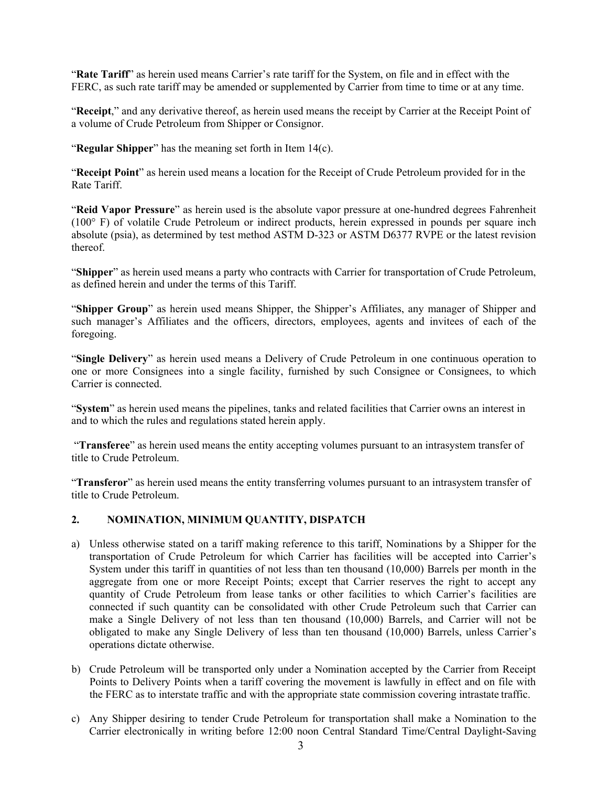"**Rate Tariff**" as herein used means Carrier's rate tariff for the System, on file and in effect with the FERC, as such rate tariff may be amended or supplemented by Carrier from time to time or at any time.

"**Receipt**," and any derivative thereof, as herein used means the receipt by Carrier at the Receipt Point of a volume of Crude Petroleum from Shipper or Consignor.

"**Regular Shipper**" has the meaning set forth in Item 14(c).

"**Receipt Point**" as herein used means a location for the Receipt of Crude Petroleum provided for in the Rate Tariff.

"**Reid Vapor Pressure**" as herein used is the absolute vapor pressure at one-hundred degrees Fahrenheit (100° F) of volatile Crude Petroleum or indirect products, herein expressed in pounds per square inch absolute (psia), as determined by test method ASTM D-323 or ASTM D6377 RVPE or the latest revision thereof.

"**Shipper**" as herein used means a party who contracts with Carrier for transportation of Crude Petroleum, as defined herein and under the terms of this Tariff.

"**Shipper Group**" as herein used means Shipper, the Shipper's Affiliates, any manager of Shipper and such manager's Affiliates and the officers, directors, employees, agents and invitees of each of the foregoing.

"**Single Delivery**" as herein used means a Delivery of Crude Petroleum in one continuous operation to one or more Consignees into a single facility, furnished by such Consignee or Consignees, to which Carrier is connected.

"**System**" as herein used means the pipelines, tanks and related facilities that Carrier owns an interest in and to which the rules and regulations stated herein apply.

 "**Transferee**" as herein used means the entity accepting volumes pursuant to an intrasystem transfer of title to Crude Petroleum.

"**Transferor**" as herein used means the entity transferring volumes pursuant to an intrasystem transfer of title to Crude Petroleum.

# **2. NOMINATION, MINIMUM QUANTITY, DISPATCH**

- a) Unless otherwise stated on a tariff making reference to this tariff, Nominations by a Shipper for the transportation of Crude Petroleum for which Carrier has facilities will be accepted into Carrier's System under this tariff in quantities of not less than ten thousand (10,000) Barrels per month in the aggregate from one or more Receipt Points; except that Carrier reserves the right to accept any quantity of Crude Petroleum from lease tanks or other facilities to which Carrier's facilities are connected if such quantity can be consolidated with other Crude Petroleum such that Carrier can make a Single Delivery of not less than ten thousand (10,000) Barrels, and Carrier will not be obligated to make any Single Delivery of less than ten thousand (10,000) Barrels, unless Carrier's operations dictate otherwise.
- b) Crude Petroleum will be transported only under a Nomination accepted by the Carrier from Receipt Points to Delivery Points when a tariff covering the movement is lawfully in effect and on file with the FERC as to interstate traffic and with the appropriate state commission covering intrastate traffic.
- c) Any Shipper desiring to tender Crude Petroleum for transportation shall make a Nomination to the Carrier electronically in writing before 12:00 noon Central Standard Time/Central Daylight-Saving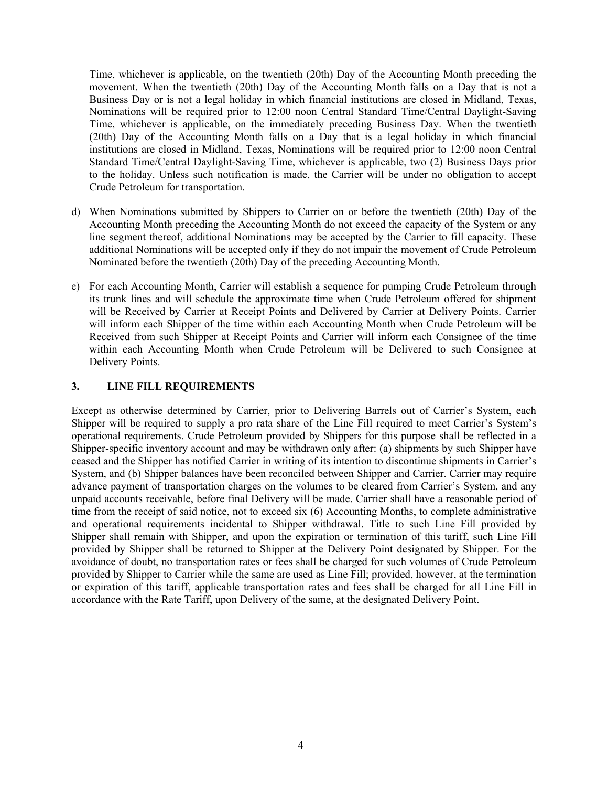Time, whichever is applicable, on the twentieth (20th) Day of the Accounting Month preceding the movement. When the twentieth (20th) Day of the Accounting Month falls on a Day that is not a Business Day or is not a legal holiday in which financial institutions are closed in Midland, Texas, Nominations will be required prior to 12:00 noon Central Standard Time/Central Daylight-Saving Time, whichever is applicable, on the immediately preceding Business Day. When the twentieth (20th) Day of the Accounting Month falls on a Day that is a legal holiday in which financial institutions are closed in Midland, Texas, Nominations will be required prior to 12:00 noon Central Standard Time/Central Daylight-Saving Time, whichever is applicable, two (2) Business Days prior to the holiday. Unless such notification is made, the Carrier will be under no obligation to accept Crude Petroleum for transportation.

- d) When Nominations submitted by Shippers to Carrier on or before the twentieth (20th) Day of the Accounting Month preceding the Accounting Month do not exceed the capacity of the System or any line segment thereof, additional Nominations may be accepted by the Carrier to fill capacity. These additional Nominations will be accepted only if they do not impair the movement of Crude Petroleum Nominated before the twentieth (20th) Day of the preceding Accounting Month.
- e) For each Accounting Month, Carrier will establish a sequence for pumping Crude Petroleum through its trunk lines and will schedule the approximate time when Crude Petroleum offered for shipment will be Received by Carrier at Receipt Points and Delivered by Carrier at Delivery Points. Carrier will inform each Shipper of the time within each Accounting Month when Crude Petroleum will be Received from such Shipper at Receipt Points and Carrier will inform each Consignee of the time within each Accounting Month when Crude Petroleum will be Delivered to such Consignee at Delivery Points.

# **3. LINE FILL REQUIREMENTS**

Except as otherwise determined by Carrier, prior to Delivering Barrels out of Carrier's System, each Shipper will be required to supply a pro rata share of the Line Fill required to meet Carrier's System's operational requirements. Crude Petroleum provided by Shippers for this purpose shall be reflected in a Shipper-specific inventory account and may be withdrawn only after: (a) shipments by such Shipper have ceased and the Shipper has notified Carrier in writing of its intention to discontinue shipments in Carrier's System, and (b) Shipper balances have been reconciled between Shipper and Carrier. Carrier may require advance payment of transportation charges on the volumes to be cleared from Carrier's System, and any unpaid accounts receivable, before final Delivery will be made. Carrier shall have a reasonable period of time from the receipt of said notice, not to exceed six (6) Accounting Months, to complete administrative and operational requirements incidental to Shipper withdrawal. Title to such Line Fill provided by Shipper shall remain with Shipper, and upon the expiration or termination of this tariff, such Line Fill provided by Shipper shall be returned to Shipper at the Delivery Point designated by Shipper. For the avoidance of doubt, no transportation rates or fees shall be charged for such volumes of Crude Petroleum provided by Shipper to Carrier while the same are used as Line Fill; provided, however, at the termination or expiration of this tariff, applicable transportation rates and fees shall be charged for all Line Fill in accordance with the Rate Tariff, upon Delivery of the same, at the designated Delivery Point.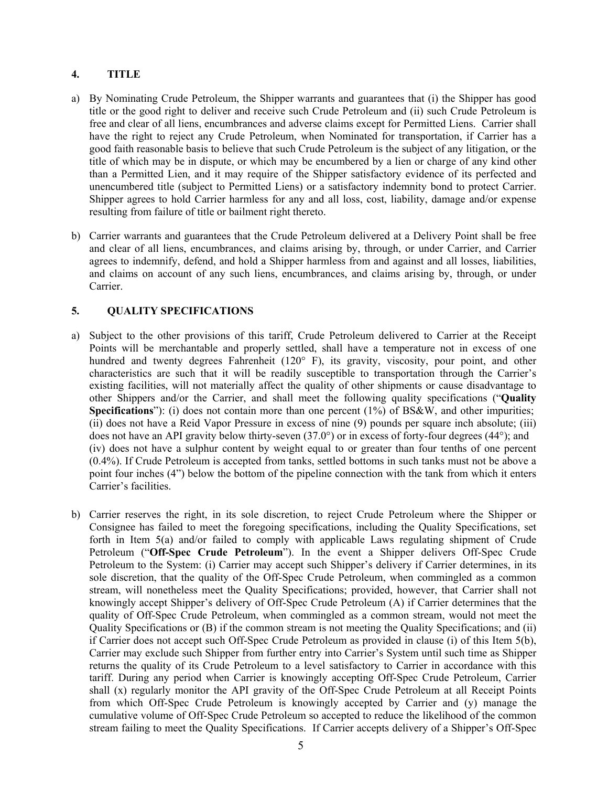# **4. TITLE**

- a) By Nominating Crude Petroleum, the Shipper warrants and guarantees that (i) the Shipper has good title or the good right to deliver and receive such Crude Petroleum and (ii) such Crude Petroleum is free and clear of all liens, encumbrances and adverse claims except for Permitted Liens. Carrier shall have the right to reject any Crude Petroleum, when Nominated for transportation, if Carrier has a good faith reasonable basis to believe that such Crude Petroleum is the subject of any litigation, or the title of which may be in dispute, or which may be encumbered by a lien or charge of any kind other than a Permitted Lien, and it may require of the Shipper satisfactory evidence of its perfected and unencumbered title (subject to Permitted Liens) or a satisfactory indemnity bond to protect Carrier. Shipper agrees to hold Carrier harmless for any and all loss, cost, liability, damage and/or expense resulting from failure of title or bailment right thereto.
- b) Carrier warrants and guarantees that the Crude Petroleum delivered at a Delivery Point shall be free and clear of all liens, encumbrances, and claims arising by, through, or under Carrier, and Carrier agrees to indemnify, defend, and hold a Shipper harmless from and against and all losses, liabilities, and claims on account of any such liens, encumbrances, and claims arising by, through, or under Carrier.

# **5. QUALITY SPECIFICATIONS**

- a) Subject to the other provisions of this tariff, Crude Petroleum delivered to Carrier at the Receipt Points will be merchantable and properly settled, shall have a temperature not in excess of one hundred and twenty degrees Fahrenheit (120° F), its gravity, viscosity, pour point, and other characteristics are such that it will be readily susceptible to transportation through the Carrier's existing facilities, will not materially affect the quality of other shipments or cause disadvantage to other Shippers and/or the Carrier, and shall meet the following quality specifications ("**Quality Specifications**"): (i) does not contain more than one percent (1%) of BS&W, and other impurities; (ii) does not have a Reid Vapor Pressure in excess of nine (9) pounds per square inch absolute; (iii) does not have an API gravity below thirty-seven (37.0°) or in excess of forty-four degrees (44°); and (iv) does not have a sulphur content by weight equal to or greater than four tenths of one percent (0.4%). If Crude Petroleum is accepted from tanks, settled bottoms in such tanks must not be above a point four inches (4") below the bottom of the pipeline connection with the tank from which it enters Carrier's facilities.
- b) Carrier reserves the right, in its sole discretion, to reject Crude Petroleum where the Shipper or Consignee has failed to meet the foregoing specifications, including the Quality Specifications, set forth in Item 5(a) and/or failed to comply with applicable Laws regulating shipment of Crude Petroleum ("**Off-Spec Crude Petroleum**"). In the event a Shipper delivers Off-Spec Crude Petroleum to the System: (i) Carrier may accept such Shipper's delivery if Carrier determines, in its sole discretion, that the quality of the Off-Spec Crude Petroleum, when commingled as a common stream, will nonetheless meet the Quality Specifications; provided, however, that Carrier shall not knowingly accept Shipper's delivery of Off-Spec Crude Petroleum (A) if Carrier determines that the quality of Off-Spec Crude Petroleum, when commingled as a common stream, would not meet the Quality Specifications or (B) if the common stream is not meeting the Quality Specifications; and (ii) if Carrier does not accept such Off-Spec Crude Petroleum as provided in clause (i) of this Item 5(b), Carrier may exclude such Shipper from further entry into Carrier's System until such time as Shipper returns the quality of its Crude Petroleum to a level satisfactory to Carrier in accordance with this tariff. During any period when Carrier is knowingly accepting Off-Spec Crude Petroleum, Carrier shall (x) regularly monitor the API gravity of the Off-Spec Crude Petroleum at all Receipt Points from which Off-Spec Crude Petroleum is knowingly accepted by Carrier and (y) manage the cumulative volume of Off-Spec Crude Petroleum so accepted to reduce the likelihood of the common stream failing to meet the Quality Specifications. If Carrier accepts delivery of a Shipper's Off-Spec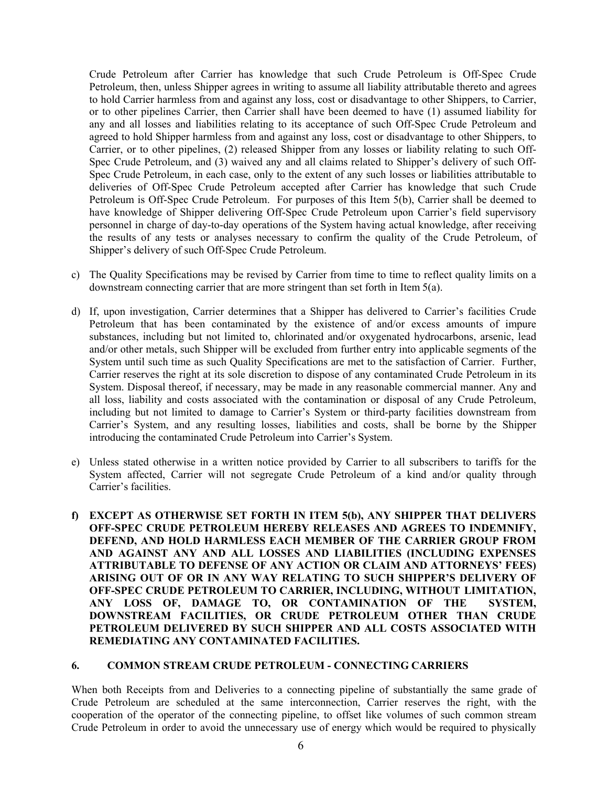Crude Petroleum after Carrier has knowledge that such Crude Petroleum is Off-Spec Crude Petroleum, then, unless Shipper agrees in writing to assume all liability attributable thereto and agrees to hold Carrier harmless from and against any loss, cost or disadvantage to other Shippers, to Carrier, or to other pipelines Carrier, then Carrier shall have been deemed to have (1) assumed liability for any and all losses and liabilities relating to its acceptance of such Off-Spec Crude Petroleum and agreed to hold Shipper harmless from and against any loss, cost or disadvantage to other Shippers, to Carrier, or to other pipelines, (2) released Shipper from any losses or liability relating to such Off-Spec Crude Petroleum, and (3) waived any and all claims related to Shipper's delivery of such Off-Spec Crude Petroleum, in each case, only to the extent of any such losses or liabilities attributable to deliveries of Off-Spec Crude Petroleum accepted after Carrier has knowledge that such Crude Petroleum is Off-Spec Crude Petroleum. For purposes of this Item 5(b), Carrier shall be deemed to have knowledge of Shipper delivering Off-Spec Crude Petroleum upon Carrier's field supervisory personnel in charge of day-to-day operations of the System having actual knowledge, after receiving the results of any tests or analyses necessary to confirm the quality of the Crude Petroleum, of Shipper's delivery of such Off-Spec Crude Petroleum.

- c) The Quality Specifications may be revised by Carrier from time to time to reflect quality limits on a downstream connecting carrier that are more stringent than set forth in Item 5(a).
- d) If, upon investigation, Carrier determines that a Shipper has delivered to Carrier's facilities Crude Petroleum that has been contaminated by the existence of and/or excess amounts of impure substances, including but not limited to, chlorinated and/or oxygenated hydrocarbons, arsenic, lead and/or other metals, such Shipper will be excluded from further entry into applicable segments of the System until such time as such Quality Specifications are met to the satisfaction of Carrier. Further, Carrier reserves the right at its sole discretion to dispose of any contaminated Crude Petroleum in its System. Disposal thereof, if necessary, may be made in any reasonable commercial manner. Any and all loss, liability and costs associated with the contamination or disposal of any Crude Petroleum, including but not limited to damage to Carrier's System or third-party facilities downstream from Carrier's System, and any resulting losses, liabilities and costs, shall be borne by the Shipper introducing the contaminated Crude Petroleum into Carrier's System.
- e) Unless stated otherwise in a written notice provided by Carrier to all subscribers to tariffs for the System affected, Carrier will not segregate Crude Petroleum of a kind and/or quality through Carrier's facilities.
- **f) EXCEPT AS OTHERWISE SET FORTH IN ITEM 5(b), ANY SHIPPER THAT DELIVERS OFF-SPEC CRUDE PETROLEUM HEREBY RELEASES AND AGREES TO INDEMNIFY, DEFEND, AND HOLD HARMLESS EACH MEMBER OF THE CARRIER GROUP FROM AND AGAINST ANY AND ALL LOSSES AND LIABILITIES (INCLUDING EXPENSES ATTRIBUTABLE TO DEFENSE OF ANY ACTION OR CLAIM AND ATTORNEYS' FEES) ARISING OUT OF OR IN ANY WAY RELATING TO SUCH SHIPPER'S DELIVERY OF OFF-SPEC CRUDE PETROLEUM TO CARRIER, INCLUDING, WITHOUT LIMITATION, ANY LOSS OF, DAMAGE TO, OR CONTAMINATION OF THE SYSTEM, DOWNSTREAM FACILITIES, OR CRUDE PETROLEUM OTHER THAN CRUDE PETROLEUM DELIVERED BY SUCH SHIPPER AND ALL COSTS ASSOCIATED WITH REMEDIATING ANY CONTAMINATED FACILITIES.**

#### **6. COMMON STREAM CRUDE PETROLEUM - CONNECTING CARRIERS**

When both Receipts from and Deliveries to a connecting pipeline of substantially the same grade of Crude Petroleum are scheduled at the same interconnection, Carrier reserves the right, with the cooperation of the operator of the connecting pipeline, to offset like volumes of such common stream Crude Petroleum in order to avoid the unnecessary use of energy which would be required to physically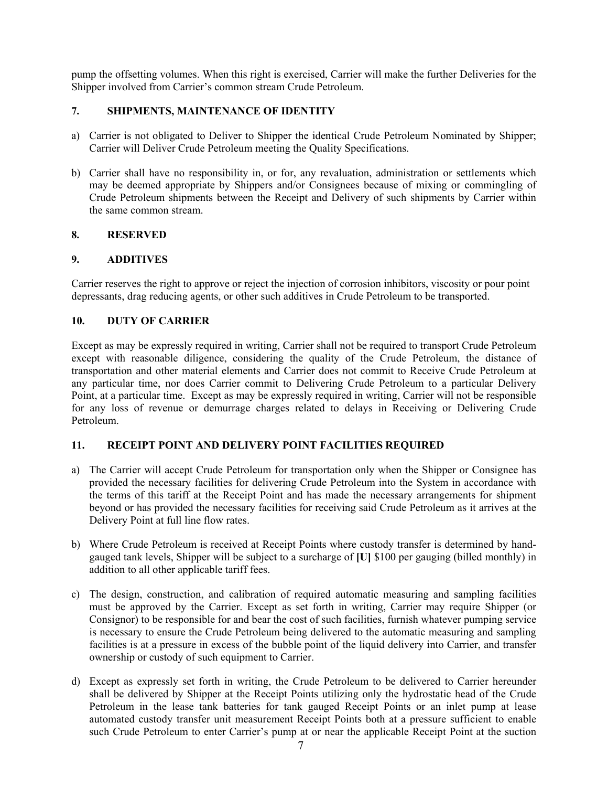pump the offsetting volumes. When this right is exercised, Carrier will make the further Deliveries for the Shipper involved from Carrier's common stream Crude Petroleum.

# **7. SHIPMENTS, MAINTENANCE OF IDENTITY**

- a) Carrier is not obligated to Deliver to Shipper the identical Crude Petroleum Nominated by Shipper; Carrier will Deliver Crude Petroleum meeting the Quality Specifications.
- b) Carrier shall have no responsibility in, or for, any revaluation, administration or settlements which may be deemed appropriate by Shippers and/or Consignees because of mixing or commingling of Crude Petroleum shipments between the Receipt and Delivery of such shipments by Carrier within the same common stream.

# **8. RESERVED**

# **9. ADDITIVES**

Carrier reserves the right to approve or reject the injection of corrosion inhibitors, viscosity or pour point depressants, drag reducing agents, or other such additives in Crude Petroleum to be transported.

# **10. DUTY OF CARRIER**

Except as may be expressly required in writing, Carrier shall not be required to transport Crude Petroleum except with reasonable diligence, considering the quality of the Crude Petroleum, the distance of transportation and other material elements and Carrier does not commit to Receive Crude Petroleum at any particular time, nor does Carrier commit to Delivering Crude Petroleum to a particular Delivery Point, at a particular time. Except as may be expressly required in writing, Carrier will not be responsible for any loss of revenue or demurrage charges related to delays in Receiving or Delivering Crude Petroleum.

# **11. RECEIPT POINT AND DELIVERY POINT FACILITIES REQUIRED**

- a) The Carrier will accept Crude Petroleum for transportation only when the Shipper or Consignee has provided the necessary facilities for delivering Crude Petroleum into the System in accordance with the terms of this tariff at the Receipt Point and has made the necessary arrangements for shipment beyond or has provided the necessary facilities for receiving said Crude Petroleum as it arrives at the Delivery Point at full line flow rates.
- b) Where Crude Petroleum is received at Receipt Points where custody transfer is determined by handgauged tank levels, Shipper will be subject to a surcharge of **[U]** \$100 per gauging (billed monthly) in addition to all other applicable tariff fees.
- c) The design, construction, and calibration of required automatic measuring and sampling facilities must be approved by the Carrier. Except as set forth in writing, Carrier may require Shipper (or Consignor) to be responsible for and bear the cost of such facilities, furnish whatever pumping service is necessary to ensure the Crude Petroleum being delivered to the automatic measuring and sampling facilities is at a pressure in excess of the bubble point of the liquid delivery into Carrier, and transfer ownership or custody of such equipment to Carrier.
- d) Except as expressly set forth in writing, the Crude Petroleum to be delivered to Carrier hereunder shall be delivered by Shipper at the Receipt Points utilizing only the hydrostatic head of the Crude Petroleum in the lease tank batteries for tank gauged Receipt Points or an inlet pump at lease automated custody transfer unit measurement Receipt Points both at a pressure sufficient to enable such Crude Petroleum to enter Carrier's pump at or near the applicable Receipt Point at the suction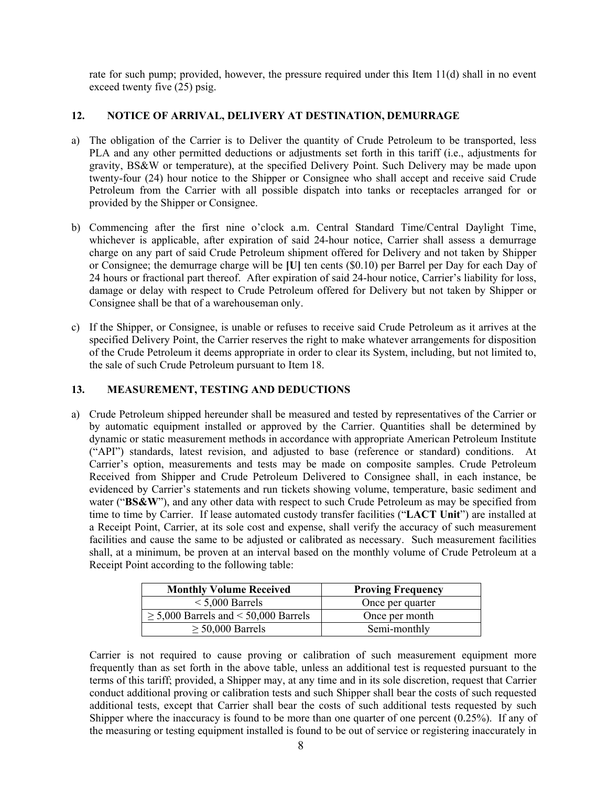rate for such pump; provided, however, the pressure required under this Item 11(d) shall in no event exceed twenty five (25) psig.

# **12. NOTICE OF ARRIVAL, DELIVERY AT DESTINATION, DEMURRAGE**

- a) The obligation of the Carrier is to Deliver the quantity of Crude Petroleum to be transported, less PLA and any other permitted deductions or adjustments set forth in this tariff (i.e., adjustments for gravity, BS&W or temperature), at the specified Delivery Point. Such Delivery may be made upon twenty-four (24) hour notice to the Shipper or Consignee who shall accept and receive said Crude Petroleum from the Carrier with all possible dispatch into tanks or receptacles arranged for or provided by the Shipper or Consignee.
- b) Commencing after the first nine o'clock a.m. Central Standard Time/Central Daylight Time, whichever is applicable, after expiration of said 24-hour notice, Carrier shall assess a demurrage charge on any part of said Crude Petroleum shipment offered for Delivery and not taken by Shipper or Consignee; the demurrage charge will be **[U]** ten cents (\$0.10) per Barrel per Day for each Day of 24 hours or fractional part thereof. After expiration of said 24-hour notice, Carrier's liability for loss, damage or delay with respect to Crude Petroleum offered for Delivery but not taken by Shipper or Consignee shall be that of a warehouseman only.
- c) If the Shipper, or Consignee, is unable or refuses to receive said Crude Petroleum as it arrives at the specified Delivery Point, the Carrier reserves the right to make whatever arrangements for disposition of the Crude Petroleum it deems appropriate in order to clear its System, including, but not limited to, the sale of such Crude Petroleum pursuant to Item 18.

# **13. MEASUREMENT, TESTING AND DEDUCTIONS**

a) Crude Petroleum shipped hereunder shall be measured and tested by representatives of the Carrier or by automatic equipment installed or approved by the Carrier. Quantities shall be determined by dynamic or static measurement methods in accordance with appropriate American Petroleum Institute ("API") standards, latest revision, and adjusted to base (reference or standard) conditions. At Carrier's option, measurements and tests may be made on composite samples. Crude Petroleum Received from Shipper and Crude Petroleum Delivered to Consignee shall, in each instance, be evidenced by Carrier's statements and run tickets showing volume, temperature, basic sediment and water ("**BS&W**"), and any other data with respect to such Crude Petroleum as may be specified from time to time by Carrier. If lease automated custody transfer facilities ("**LACT Unit**") are installed at a Receipt Point, Carrier, at its sole cost and expense, shall verify the accuracy of such measurement facilities and cause the same to be adjusted or calibrated as necessary. Such measurement facilities shall, at a minimum, be proven at an interval based on the monthly volume of Crude Petroleum at a Receipt Point according to the following table:

| <b>Monthly Volume Received</b>            | <b>Proving Frequency</b> |
|-------------------------------------------|--------------------------|
| $< 5,000$ Barrels                         | Once per quarter         |
| $\geq$ 5,000 Barrels and < 50,000 Barrels | Once per month           |
| $\geq$ 50,000 Barrels                     | Semi-monthly             |

Carrier is not required to cause proving or calibration of such measurement equipment more frequently than as set forth in the above table, unless an additional test is requested pursuant to the terms of this tariff; provided, a Shipper may, at any time and in its sole discretion, request that Carrier conduct additional proving or calibration tests and such Shipper shall bear the costs of such requested additional tests, except that Carrier shall bear the costs of such additional tests requested by such Shipper where the inaccuracy is found to be more than one quarter of one percent  $(0.25\%)$ . If any of the measuring or testing equipment installed is found to be out of service or registering inaccurately in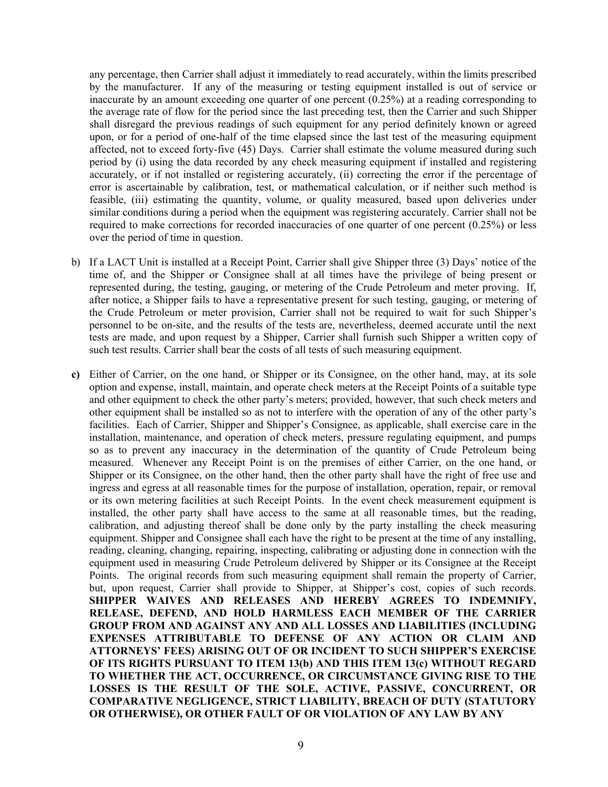any percentage, then Carrier shall adjust it immediately to read accurately, within the limits prescribed by the manufacturer. If any of the measuring or testing equipment installed is out of service or inaccurate by an amount exceeding one quarter of one percent (0.25%) at a reading corresponding to the average rate of flow for the period since the last preceding test, then the Carrier and such Shipper shall disregard the previous readings of such equipment for any period definitely known or agreed upon, or for a period of one-half of the time elapsed since the last test of the measuring equipment affected, not to exceed forty-five (45) Days. Carrier shall estimate the volume measured during such period by (i) using the data recorded by any check measuring equipment if installed and registering accurately, or if not installed or registering accurately, (ii) correcting the error if the percentage of error is ascertainable by calibration, test, or mathematical calculation, or if neither such method is feasible, (iii) estimating the quantity, volume, or quality measured, based upon deliveries under similar conditions during a period when the equipment was registering accurately. Carrier shall not be required to make corrections for recorded inaccuracies of one quarter of one percent (0.25%) or less over the period of time in question.

- b) If a LACT Unit is installed at a Receipt Point, Carrier shall give Shipper three (3) Days' notice of the time of, and the Shipper or Consignee shall at all times have the privilege of being present or represented during, the testing, gauging, or metering of the Crude Petroleum and meter proving. If, after notice, a Shipper fails to have a representative present for such testing, gauging, or metering of the Crude Petroleum or meter provision, Carrier shall not be required to wait for such Shipper's personnel to be on-site, and the results of the tests are, nevertheless, deemed accurate until the next tests are made, and upon request by a Shipper, Carrier shall furnish such Shipper a written copy of such test results. Carrier shall bear the costs of all tests of such measuring equipment.
- **c)** Either of Carrier, on the one hand, or Shipper or its Consignee, on the other hand, may, at its sole option and expense, install, maintain, and operate check meters at the Receipt Points of a suitable type and other equipment to check the other party's meters; provided, however, that such check meters and other equipment shall be installed so as not to interfere with the operation of any of the other party's facilities. Each of Carrier, Shipper and Shipper's Consignee, as applicable, shall exercise care in the installation, maintenance, and operation of check meters, pressure regulating equipment, and pumps so as to prevent any inaccuracy in the determination of the quantity of Crude Petroleum being measured. Whenever any Receipt Point is on the premises of either Carrier, on the one hand, or Shipper or its Consignee, on the other hand, then the other party shall have the right of free use and ingress and egress at all reasonable times for the purpose of installation, operation, repair, or removal or its own metering facilities at such Receipt Points. In the event check measurement equipment is installed, the other party shall have access to the same at all reasonable times, but the reading, calibration, and adjusting thereof shall be done only by the party installing the check measuring equipment. Shipper and Consignee shall each have the right to be present at the time of any installing, reading, cleaning, changing, repairing, inspecting, calibrating or adjusting done in connection with the equipment used in measuring Crude Petroleum delivered by Shipper or its Consignee at the Receipt Points. The original records from such measuring equipment shall remain the property of Carrier, but, upon request, Carrier shall provide to Shipper, at Shipper's cost, copies of such records. **SHIPPER WAIVES AND RELEASES AND HEREBY AGREES TO INDEMNIFY, RELEASE, DEFEND, AND HOLD HARMLESS EACH MEMBER OF THE CARRIER GROUP FROM AND AGAINST ANY AND ALL LOSSES AND LIABILITIES (INCLUDING EXPENSES ATTRIBUTABLE TO DEFENSE OF ANY ACTION OR CLAIM AND ATTORNEYS' FEES) ARISING OUT OF OR INCIDENT TO SUCH SHIPPER'S EXERCISE OF ITS RIGHTS PURSUANT TO ITEM 13(b) AND THIS ITEM 13(c) WITHOUT REGARD TO WHETHER THE ACT, OCCURRENCE, OR CIRCUMSTANCE GIVING RISE TO THE LOSSES IS THE RESULT OF THE SOLE, ACTIVE, PASSIVE, CONCURRENT, OR COMPARATIVE NEGLIGENCE, STRICT LIABILITY, BREACH OF DUTY (STATUTORY OR OTHERWISE), OR OTHER FAULT OF OR VIOLATION OF ANY LAW BY ANY**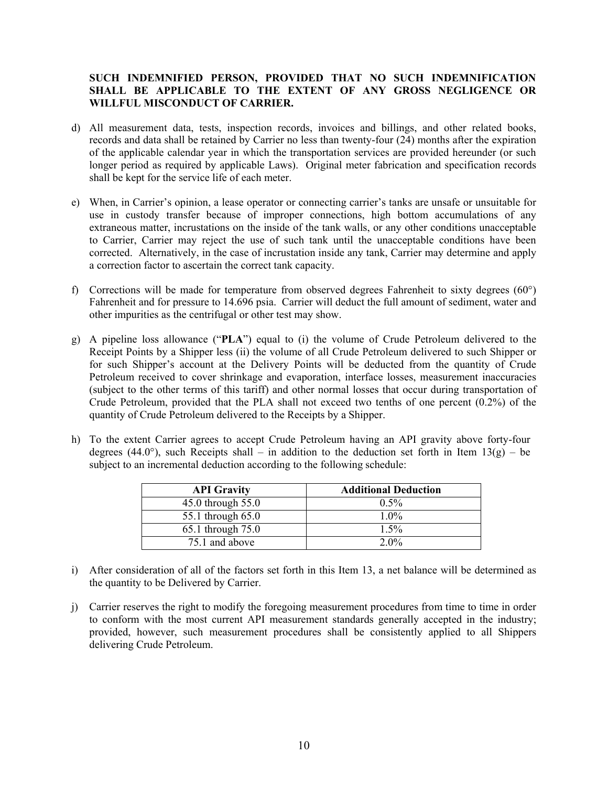# **SUCH INDEMNIFIED PERSON, PROVIDED THAT NO SUCH INDEMNIFICATION SHALL BE APPLICABLE TO THE EXTENT OF ANY GROSS NEGLIGENCE OR WILLFUL MISCONDUCT OF CARRIER.**

- d) All measurement data, tests, inspection records, invoices and billings, and other related books, records and data shall be retained by Carrier no less than twenty-four (24) months after the expiration of the applicable calendar year in which the transportation services are provided hereunder (or such longer period as required by applicable Laws). Original meter fabrication and specification records shall be kept for the service life of each meter.
- e) When, in Carrier's opinion, a lease operator or connecting carrier's tanks are unsafe or unsuitable for use in custody transfer because of improper connections, high bottom accumulations of any extraneous matter, incrustations on the inside of the tank walls, or any other conditions unacceptable to Carrier, Carrier may reject the use of such tank until the unacceptable conditions have been corrected. Alternatively, in the case of incrustation inside any tank, Carrier may determine and apply a correction factor to ascertain the correct tank capacity.
- f) Corrections will be made for temperature from observed degrees Fahrenheit to sixty degrees (60°) Fahrenheit and for pressure to 14.696 psia. Carrier will deduct the full amount of sediment, water and other impurities as the centrifugal or other test may show.
- g) A pipeline loss allowance ("**PLA**") equal to (i) the volume of Crude Petroleum delivered to the Receipt Points by a Shipper less (ii) the volume of all Crude Petroleum delivered to such Shipper or for such Shipper's account at the Delivery Points will be deducted from the quantity of Crude Petroleum received to cover shrinkage and evaporation, interface losses, measurement inaccuracies (subject to the other terms of this tariff) and other normal losses that occur during transportation of Crude Petroleum, provided that the PLA shall not exceed two tenths of one percent (0.2%) of the quantity of Crude Petroleum delivered to the Receipts by a Shipper.
- h) To the extent Carrier agrees to accept Crude Petroleum having an API gravity above forty-four degrees (44.0°), such Receipts shall – in addition to the deduction set forth in Item  $13(g)$  – be subject to an incremental deduction according to the following schedule:

| <b>API Gravity</b> | <b>Additional Deduction</b> |
|--------------------|-----------------------------|
| 45.0 through 55.0  | $0.5\%$                     |
| 55.1 through 65.0  | $1.0\%$                     |
| 65.1 through 75.0  | $1.5\%$                     |
| 75.1 and above     | $2.0\%$                     |

- i) After consideration of all of the factors set forth in this Item 13, a net balance will be determined as the quantity to be Delivered by Carrier.
- j) Carrier reserves the right to modify the foregoing measurement procedures from time to time in order to conform with the most current API measurement standards generally accepted in the industry; provided, however, such measurement procedures shall be consistently applied to all Shippers delivering Crude Petroleum.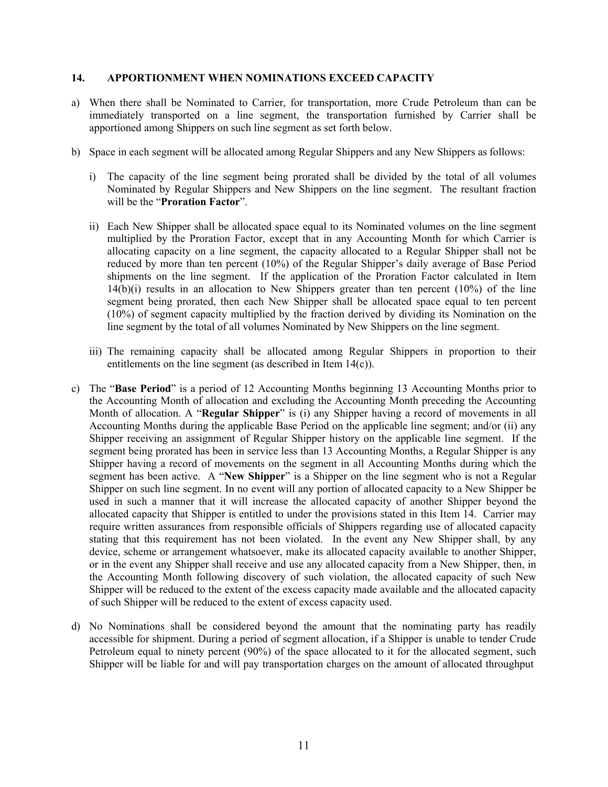#### **14. APPORTIONMENT WHEN NOMINATIONS EXCEED CAPACITY**

- a) When there shall be Nominated to Carrier, for transportation, more Crude Petroleum than can be immediately transported on a line segment, the transportation furnished by Carrier shall be apportioned among Shippers on such line segment as set forth below.
- b) Space in each segment will be allocated among Regular Shippers and any New Shippers as follows:
	- i) The capacity of the line segment being prorated shall be divided by the total of all volumes Nominated by Regular Shippers and New Shippers on the line segment. The resultant fraction will be the "**Proration Factor**".
	- ii) Each New Shipper shall be allocated space equal to its Nominated volumes on the line segment multiplied by the Proration Factor, except that in any Accounting Month for which Carrier is allocating capacity on a line segment, the capacity allocated to a Regular Shipper shall not be reduced by more than ten percent (10%) of the Regular Shipper's daily average of Base Period shipments on the line segment. If the application of the Proration Factor calculated in Item 14(b)(i) results in an allocation to New Shippers greater than ten percent (10%) of the line segment being prorated, then each New Shipper shall be allocated space equal to ten percent (10%) of segment capacity multiplied by the fraction derived by dividing its Nomination on the line segment by the total of all volumes Nominated by New Shippers on the line segment.
	- iii) The remaining capacity shall be allocated among Regular Shippers in proportion to their entitlements on the line segment (as described in Item 14(c)).
- c) The "**Base Period**" is a period of 12 Accounting Months beginning 13 Accounting Months prior to the Accounting Month of allocation and excluding the Accounting Month preceding the Accounting Month of allocation. A "**Regular Shipper**" is (i) any Shipper having a record of movements in all Accounting Months during the applicable Base Period on the applicable line segment; and/or (ii) any Shipper receiving an assignment of Regular Shipper history on the applicable line segment. If the segment being prorated has been in service less than 13 Accounting Months, a Regular Shipper is any Shipper having a record of movements on the segment in all Accounting Months during which the segment has been active. A "**New Shipper**" is a Shipper on the line segment who is not a Regular Shipper on such line segment. In no event will any portion of allocated capacity to a New Shipper be used in such a manner that it will increase the allocated capacity of another Shipper beyond the allocated capacity that Shipper is entitled to under the provisions stated in this Item 14. Carrier may require written assurances from responsible officials of Shippers regarding use of allocated capacity stating that this requirement has not been violated. In the event any New Shipper shall, by any device, scheme or arrangement whatsoever, make its allocated capacity available to another Shipper, or in the event any Shipper shall receive and use any allocated capacity from a New Shipper, then, in the Accounting Month following discovery of such violation, the allocated capacity of such New Shipper will be reduced to the extent of the excess capacity made available and the allocated capacity of such Shipper will be reduced to the extent of excess capacity used.
- d) No Nominations shall be considered beyond the amount that the nominating party has readily accessible for shipment. During a period of segment allocation, if a Shipper is unable to tender Crude Petroleum equal to ninety percent (90%) of the space allocated to it for the allocated segment, such Shipper will be liable for and will pay transportation charges on the amount of allocated throughput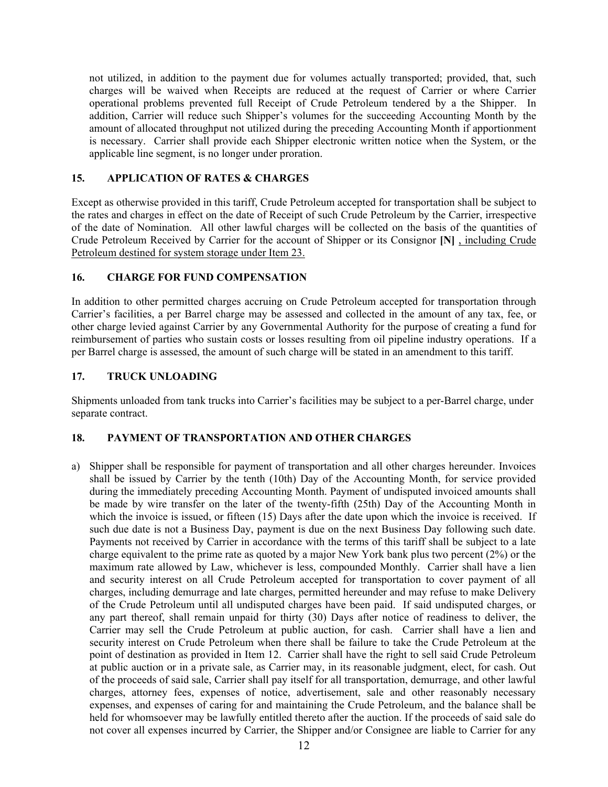not utilized, in addition to the payment due for volumes actually transported; provided, that, such charges will be waived when Receipts are reduced at the request of Carrier or where Carrier operational problems prevented full Receipt of Crude Petroleum tendered by a the Shipper. In addition, Carrier will reduce such Shipper's volumes for the succeeding Accounting Month by the amount of allocated throughput not utilized during the preceding Accounting Month if apportionment is necessary. Carrier shall provide each Shipper electronic written notice when the System, or the applicable line segment, is no longer under proration.

# **15. APPLICATION OF RATES & CHARGES**

Except as otherwise provided in this tariff, Crude Petroleum accepted for transportation shall be subject to the rates and charges in effect on the date of Receipt of such Crude Petroleum by the Carrier, irrespective of the date of Nomination. All other lawful charges will be collected on the basis of the quantities of Crude Petroleum Received by Carrier for the account of Shipper or its Consignor **[N]** , including Crude Petroleum destined for system storage under Item 23.

# **16. CHARGE FOR FUND COMPENSATION**

In addition to other permitted charges accruing on Crude Petroleum accepted for transportation through Carrier's facilities, a per Barrel charge may be assessed and collected in the amount of any tax, fee, or other charge levied against Carrier by any Governmental Authority for the purpose of creating a fund for reimbursement of parties who sustain costs or losses resulting from oil pipeline industry operations. If a per Barrel charge is assessed, the amount of such charge will be stated in an amendment to this tariff.

# **17. TRUCK UNLOADING**

Shipments unloaded from tank trucks into Carrier's facilities may be subject to a per-Barrel charge, under separate contract.

# **18. PAYMENT OF TRANSPORTATION AND OTHER CHARGES**

a) Shipper shall be responsible for payment of transportation and all other charges hereunder. Invoices shall be issued by Carrier by the tenth (10th) Day of the Accounting Month, for service provided during the immediately preceding Accounting Month. Payment of undisputed invoiced amounts shall be made by wire transfer on the later of the twenty-fifth (25th) Day of the Accounting Month in which the invoice is issued, or fifteen (15) Days after the date upon which the invoice is received. If such due date is not a Business Day, payment is due on the next Business Day following such date. Payments not received by Carrier in accordance with the terms of this tariff shall be subject to a late charge equivalent to the prime rate as quoted by a major New York bank plus two percent (2%) or the maximum rate allowed by Law, whichever is less, compounded Monthly. Carrier shall have a lien and security interest on all Crude Petroleum accepted for transportation to cover payment of all charges, including demurrage and late charges, permitted hereunder and may refuse to make Delivery of the Crude Petroleum until all undisputed charges have been paid. If said undisputed charges, or any part thereof, shall remain unpaid for thirty (30) Days after notice of readiness to deliver, the Carrier may sell the Crude Petroleum at public auction, for cash. Carrier shall have a lien and security interest on Crude Petroleum when there shall be failure to take the Crude Petroleum at the point of destination as provided in Item 12. Carrier shall have the right to sell said Crude Petroleum at public auction or in a private sale, as Carrier may, in its reasonable judgment, elect, for cash. Out of the proceeds of said sale, Carrier shall pay itself for all transportation, demurrage, and other lawful charges, attorney fees, expenses of notice, advertisement, sale and other reasonably necessary expenses, and expenses of caring for and maintaining the Crude Petroleum, and the balance shall be held for whomsoever may be lawfully entitled thereto after the auction. If the proceeds of said sale do not cover all expenses incurred by Carrier, the Shipper and/or Consignee are liable to Carrier for any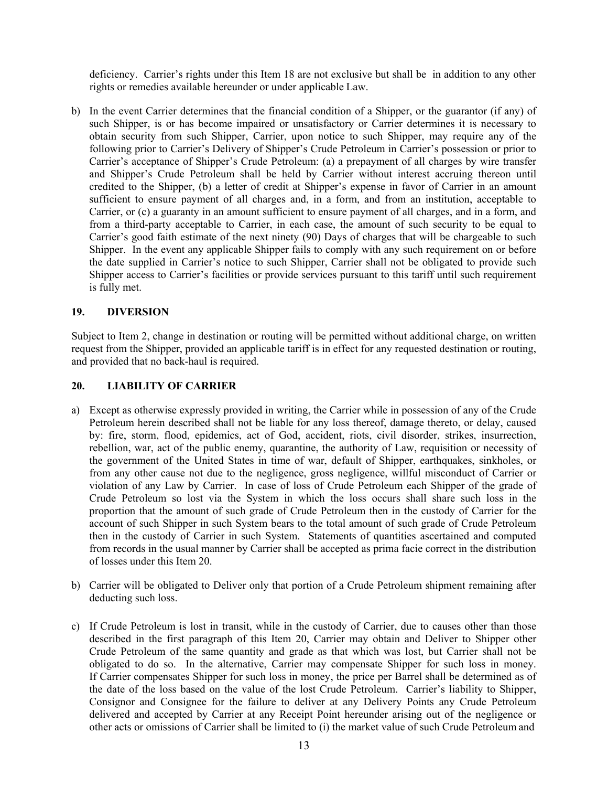deficiency. Carrier's rights under this Item 18 are not exclusive but shall be in addition to any other rights or remedies available hereunder or under applicable Law.

b) In the event Carrier determines that the financial condition of a Shipper, or the guarantor (if any) of such Shipper, is or has become impaired or unsatisfactory or Carrier determines it is necessary to obtain security from such Shipper, Carrier, upon notice to such Shipper, may require any of the following prior to Carrier's Delivery of Shipper's Crude Petroleum in Carrier's possession or prior to Carrier's acceptance of Shipper's Crude Petroleum: (a) a prepayment of all charges by wire transfer and Shipper's Crude Petroleum shall be held by Carrier without interest accruing thereon until credited to the Shipper, (b) a letter of credit at Shipper's expense in favor of Carrier in an amount sufficient to ensure payment of all charges and, in a form, and from an institution, acceptable to Carrier, or (c) a guaranty in an amount sufficient to ensure payment of all charges, and in a form, and from a third-party acceptable to Carrier, in each case, the amount of such security to be equal to Carrier's good faith estimate of the next ninety (90) Days of charges that will be chargeable to such Shipper. In the event any applicable Shipper fails to comply with any such requirement on or before the date supplied in Carrier's notice to such Shipper, Carrier shall not be obligated to provide such Shipper access to Carrier's facilities or provide services pursuant to this tariff until such requirement is fully met.

# **19. DIVERSION**

Subject to Item 2, change in destination or routing will be permitted without additional charge, on written request from the Shipper, provided an applicable tariff is in effect for any requested destination or routing, and provided that no back-haul is required.

# **20. LIABILITY OF CARRIER**

- a) Except as otherwise expressly provided in writing, the Carrier while in possession of any of the Crude Petroleum herein described shall not be liable for any loss thereof, damage thereto, or delay, caused by: fire, storm, flood, epidemics, act of God, accident, riots, civil disorder, strikes, insurrection, rebellion, war, act of the public enemy, quarantine, the authority of Law, requisition or necessity of the government of the United States in time of war, default of Shipper, earthquakes, sinkholes, or from any other cause not due to the negligence, gross negligence, willful misconduct of Carrier or violation of any Law by Carrier. In case of loss of Crude Petroleum each Shipper of the grade of Crude Petroleum so lost via the System in which the loss occurs shall share such loss in the proportion that the amount of such grade of Crude Petroleum then in the custody of Carrier for the account of such Shipper in such System bears to the total amount of such grade of Crude Petroleum then in the custody of Carrier in such System. Statements of quantities ascertained and computed from records in the usual manner by Carrier shall be accepted as prima facie correct in the distribution of losses under this Item 20.
- b) Carrier will be obligated to Deliver only that portion of a Crude Petroleum shipment remaining after deducting such loss.
- c) If Crude Petroleum is lost in transit, while in the custody of Carrier, due to causes other than those described in the first paragraph of this Item 20, Carrier may obtain and Deliver to Shipper other Crude Petroleum of the same quantity and grade as that which was lost, but Carrier shall not be obligated to do so. In the alternative, Carrier may compensate Shipper for such loss in money. If Carrier compensates Shipper for such loss in money, the price per Barrel shall be determined as of the date of the loss based on the value of the lost Crude Petroleum. Carrier's liability to Shipper, Consignor and Consignee for the failure to deliver at any Delivery Points any Crude Petroleum delivered and accepted by Carrier at any Receipt Point hereunder arising out of the negligence or other acts or omissions of Carrier shall be limited to (i) the market value of such Crude Petroleum and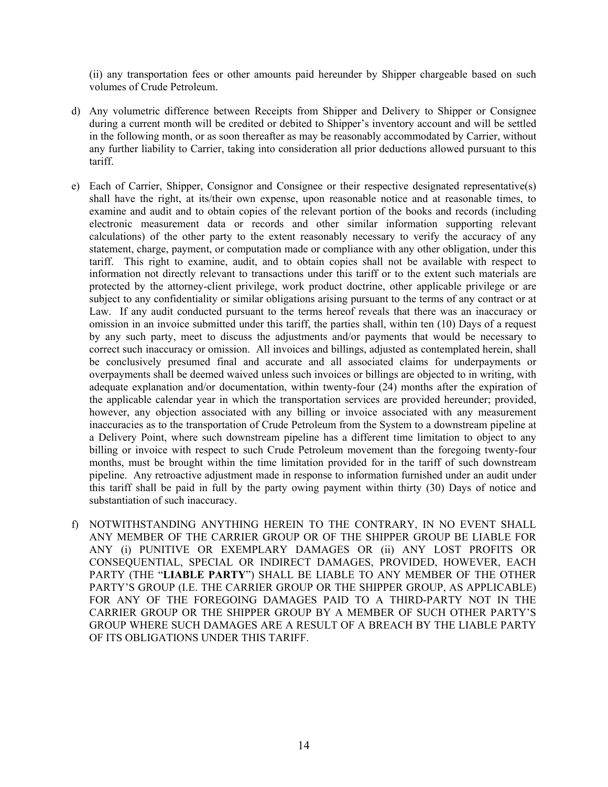(ii) any transportation fees or other amounts paid hereunder by Shipper chargeable based on such volumes of Crude Petroleum.

- d) Any volumetric difference between Receipts from Shipper and Delivery to Shipper or Consignee during a current month will be credited or debited to Shipper's inventory account and will be settled in the following month, or as soon thereafter as may be reasonably accommodated by Carrier, without any further liability to Carrier, taking into consideration all prior deductions allowed pursuant to this tariff.
- e) Each of Carrier, Shipper, Consignor and Consignee or their respective designated representative(s) shall have the right, at its/their own expense, upon reasonable notice and at reasonable times, to examine and audit and to obtain copies of the relevant portion of the books and records (including electronic measurement data or records and other similar information supporting relevant calculations) of the other party to the extent reasonably necessary to verify the accuracy of any statement, charge, payment, or computation made or compliance with any other obligation, under this tariff. This right to examine, audit, and to obtain copies shall not be available with respect to information not directly relevant to transactions under this tariff or to the extent such materials are protected by the attorney-client privilege, work product doctrine, other applicable privilege or are subject to any confidentiality or similar obligations arising pursuant to the terms of any contract or at Law. If any audit conducted pursuant to the terms hereof reveals that there was an inaccuracy or omission in an invoice submitted under this tariff, the parties shall, within ten (10) Days of a request by any such party, meet to discuss the adjustments and/or payments that would be necessary to correct such inaccuracy or omission. All invoices and billings, adjusted as contemplated herein, shall be conclusively presumed final and accurate and all associated claims for underpayments or overpayments shall be deemed waived unless such invoices or billings are objected to in writing, with adequate explanation and/or documentation, within twenty-four (24) months after the expiration of the applicable calendar year in which the transportation services are provided hereunder; provided, however, any objection associated with any billing or invoice associated with any measurement inaccuracies as to the transportation of Crude Petroleum from the System to a downstream pipeline at a Delivery Point, where such downstream pipeline has a different time limitation to object to any billing or invoice with respect to such Crude Petroleum movement than the foregoing twenty-four months, must be brought within the time limitation provided for in the tariff of such downstream pipeline. Any retroactive adjustment made in response to information furnished under an audit under this tariff shall be paid in full by the party owing payment within thirty (30) Days of notice and substantiation of such inaccuracy.
- f) NOTWITHSTANDING ANYTHING HEREIN TO THE CONTRARY, IN NO EVENT SHALL ANY MEMBER OF THE CARRIER GROUP OR OF THE SHIPPER GROUP BE LIABLE FOR ANY (i) PUNITIVE OR EXEMPLARY DAMAGES OR (ii) ANY LOST PROFITS OR CONSEQUENTIAL, SPECIAL OR INDIRECT DAMAGES, PROVIDED, HOWEVER, EACH PARTY (THE "**LIABLE PARTY**") SHALL BE LIABLE TO ANY MEMBER OF THE OTHER PARTY'S GROUP (I.E. THE CARRIER GROUP OR THE SHIPPER GROUP, AS APPLICABLE) FOR ANY OF THE FOREGOING DAMAGES PAID TO A THIRD-PARTY NOT IN THE CARRIER GROUP OR THE SHIPPER GROUP BY A MEMBER OF SUCH OTHER PARTY'S GROUP WHERE SUCH DAMAGES ARE A RESULT OF A BREACH BY THE LIABLE PARTY OF ITS OBLIGATIONS UNDER THIS TARIFF.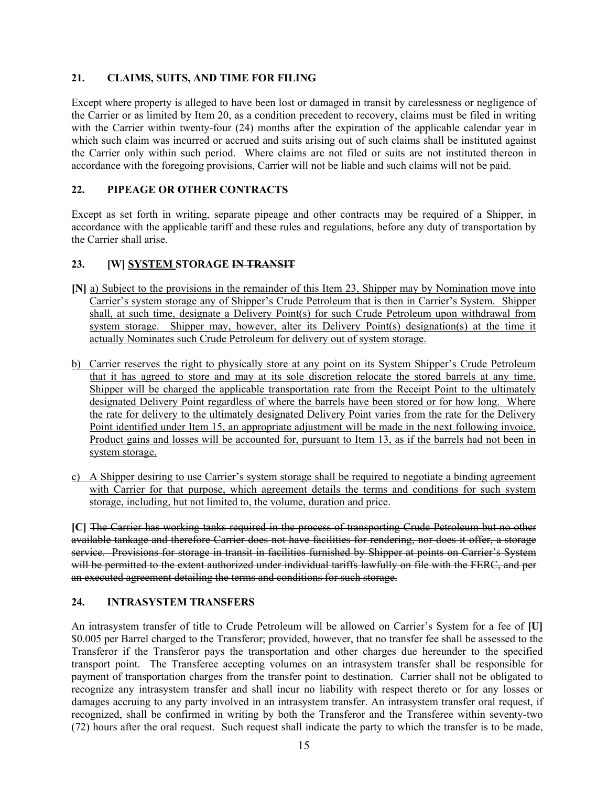# **21. CLAIMS, SUITS, AND TIME FOR FILING**

Except where property is alleged to have been lost or damaged in transit by carelessness or negligence of the Carrier or as limited by Item 20, as a condition precedent to recovery, claims must be filed in writing with the Carrier within twenty-four (24) months after the expiration of the applicable calendar year in which such claim was incurred or accrued and suits arising out of such claims shall be instituted against the Carrier only within such period. Where claims are not filed or suits are not instituted thereon in accordance with the foregoing provisions, Carrier will not be liable and such claims will not be paid.

# **22. PIPEAGE OR OTHER CONTRACTS**

Except as set forth in writing, separate pipeage and other contracts may be required of a Shipper, in accordance with the applicable tariff and these rules and regulations, before any duty of transportation by the Carrier shall arise.

# **23. [W] SYSTEM STORAGE IN TRANSIT**

- **[N]** a) Subject to the provisions in the remainder of this Item 23, Shipper may by Nomination move into Carrier's system storage any of Shipper's Crude Petroleum that is then in Carrier's System. Shipper shall, at such time, designate a Delivery Point(s) for such Crude Petroleum upon withdrawal from system storage. Shipper may, however, alter its Delivery Point(s) designation(s) at the time it actually Nominates such Crude Petroleum for delivery out of system storage.
- b) Carrier reserves the right to physically store at any point on its System Shipper's Crude Petroleum that it has agreed to store and may at its sole discretion relocate the stored barrels at any time. Shipper will be charged the applicable transportation rate from the Receipt Point to the ultimately designated Delivery Point regardless of where the barrels have been stored or for how long. Where the rate for delivery to the ultimately designated Delivery Point varies from the rate for the Delivery Point identified under Item 15, an appropriate adjustment will be made in the next following invoice. Product gains and losses will be accounted for, pursuant to Item 13, as if the barrels had not been in system storage.
- c) A Shipper desiring to use Carrier's system storage shall be required to negotiate a binding agreement with Carrier for that purpose, which agreement details the terms and conditions for such system storage, including, but not limited to, the volume, duration and price.

**[C]** The Carrier has working tanks required in the process of transporting Crude Petroleum but no other available tankage and therefore Carrier does not have facilities for rendering, nor does it offer, a storage service. Provisions for storage in transit in facilities furnished by Shipper at points on Carrier's System will be permitted to the extent authorized under individual tariffs lawfully on file with the FERC, and per an executed agreement detailing the terms and conditions for such storage.

# **24. INTRASYSTEM TRANSFERS**

An intrasystem transfer of title to Crude Petroleum will be allowed on Carrier's System for a fee of **[U]** \$0.005 per Barrel charged to the Transferor; provided, however, that no transfer fee shall be assessed to the Transferor if the Transferor pays the transportation and other charges due hereunder to the specified transport point. The Transferee accepting volumes on an intrasystem transfer shall be responsible for payment of transportation charges from the transfer point to destination. Carrier shall not be obligated to recognize any intrasystem transfer and shall incur no liability with respect thereto or for any losses or damages accruing to any party involved in an intrasystem transfer. An intrasystem transfer oral request, if recognized, shall be confirmed in writing by both the Transferor and the Transferee within seventy-two (72) hours after the oral request. Such request shall indicate the party to which the transfer is to be made,